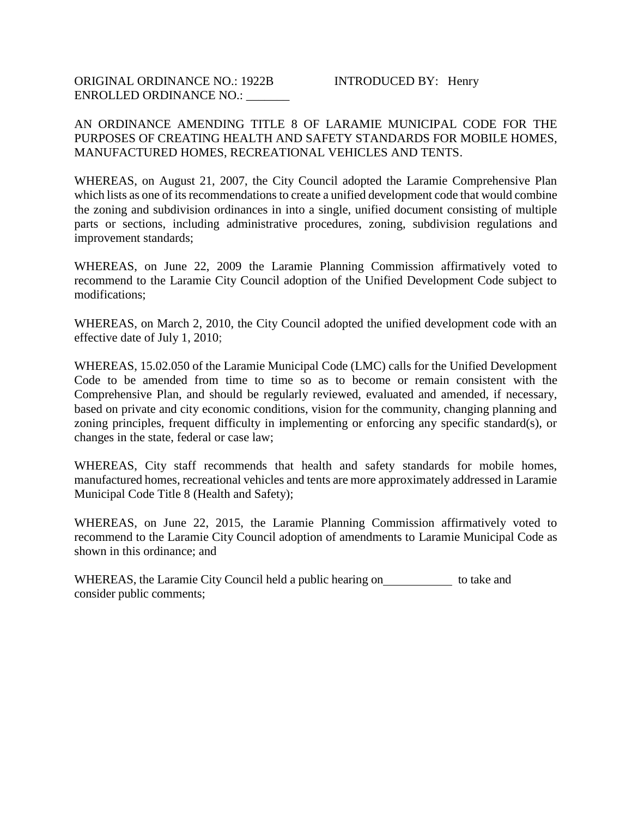#### AN ORDINANCE AMENDING TITLE 8 OF LARAMIE MUNICIPAL CODE FOR THE PURPOSES OF CREATING HEALTH AND SAFETY STANDARDS FOR MOBILE HOMES, MANUFACTURED HOMES, RECREATIONAL VEHICLES AND TENTS.

WHEREAS, on August 21, 2007, the City Council adopted the Laramie Comprehensive Plan which lists as one of its recommendations to create a unified development code that would combine the zoning and subdivision ordinances in into a single, unified document consisting of multiple parts or sections, including administrative procedures, zoning, subdivision regulations and improvement standards;

WHEREAS, on June 22, 2009 the Laramie Planning Commission affirmatively voted to recommend to the Laramie City Council adoption of the Unified Development Code subject to modifications;

WHEREAS, on March 2, 2010, the City Council adopted the unified development code with an effective date of July 1, 2010;

WHEREAS, 15.02.050 of the Laramie Municipal Code (LMC) calls for the Unified Development Code to be amended from time to time so as to become or remain consistent with the Comprehensive Plan, and should be regularly reviewed, evaluated and amended, if necessary, based on private and city economic conditions, vision for the community, changing planning and zoning principles, frequent difficulty in implementing or enforcing any specific standard(s), or changes in the state, federal or case law;

WHEREAS, City staff recommends that health and safety standards for mobile homes, manufactured homes, recreational vehicles and tents are more approximately addressed in Laramie Municipal Code Title 8 (Health and Safety);

WHEREAS, on June 22, 2015, the Laramie Planning Commission affirmatively voted to recommend to the Laramie City Council adoption of amendments to Laramie Municipal Code as shown in this ordinance; and

WHEREAS, the Laramie City Council held a public hearing on to take and consider public comments;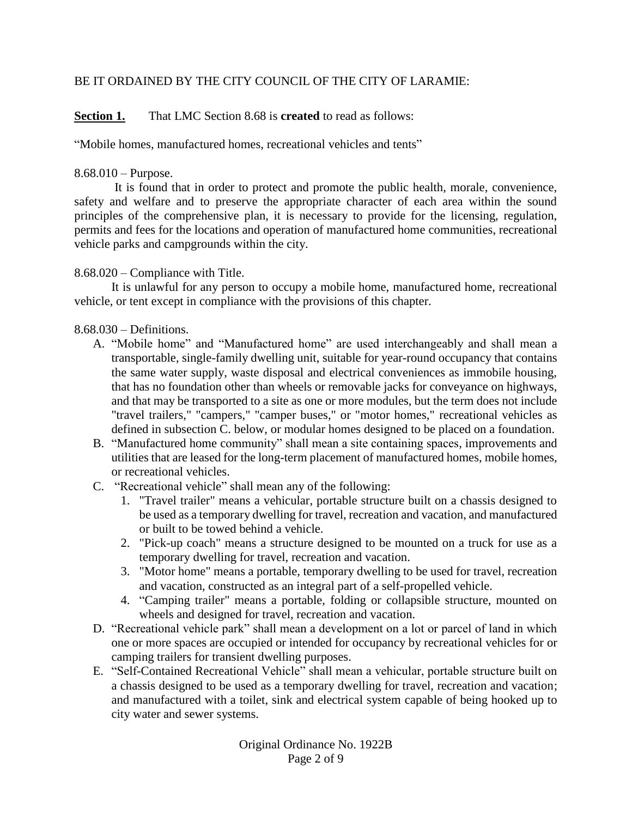### BE IT ORDAINED BY THE CITY COUNCIL OF THE CITY OF LARAMIE:

**Section 1.** That LMC Section 8.68 is **created** to read as follows:

"Mobile homes, manufactured homes, recreational vehicles and tents"

## 8.68.010 – Purpose.

It is found that in order to protect and promote the public health, morale, convenience, safety and welfare and to preserve the appropriate character of each area within the sound principles of the comprehensive plan, it is necessary to provide for the licensing, regulation, permits and fees for the locations and operation of manufactured home communities, recreational vehicle parks and campgrounds within the city.

# 8.68.020 – Compliance with Title.

It is unlawful for any person to occupy a mobile home, manufactured home, recreational vehicle, or tent except in compliance with the provisions of this chapter.

# 8.68.030 – Definitions.

- A. "Mobile home" and "Manufactured home" are used interchangeably and shall mean a transportable, single-family dwelling unit, suitable for year-round occupancy that contains the same water supply, waste disposal and electrical conveniences as immobile housing, that has no foundation other than wheels or removable jacks for conveyance on highways, and that may be transported to a site as one or more modules, but the term does not include "travel trailers," "campers," "camper buses," or "motor homes," recreational vehicles as defined in subsection C. below, or modular homes designed to be placed on a foundation.
- B. "Manufactured home community" shall mean a site containing spaces, improvements and utilities that are leased for the long-term placement of manufactured homes, mobile homes, or recreational vehicles.
- C. "Recreational vehicle" shall mean any of the following:
	- 1. "Travel trailer" means a vehicular, portable structure built on a chassis designed to be used as a temporary dwelling for travel, recreation and vacation, and manufactured or built to be towed behind a vehicle.
	- 2. "Pick-up coach" means a structure designed to be mounted on a truck for use as a temporary dwelling for travel, recreation and vacation.
	- 3. "Motor home" means a portable, temporary dwelling to be used for travel, recreation and vacation, constructed as an integral part of a self-propelled vehicle.
	- 4. "Camping trailer" means a portable, folding or collapsible structure, mounted on wheels and designed for travel, recreation and vacation.
- D. "Recreational vehicle park" shall mean a development on a lot or parcel of land in which one or more spaces are occupied or intended for occupancy by recreational vehicles for or camping trailers for transient dwelling purposes.
- E. "Self-Contained Recreational Vehicle" shall mean a vehicular, portable structure built on a chassis designed to be used as a temporary dwelling for travel, recreation and vacation; and manufactured with a toilet, sink and electrical system capable of being hooked up to city water and sewer systems.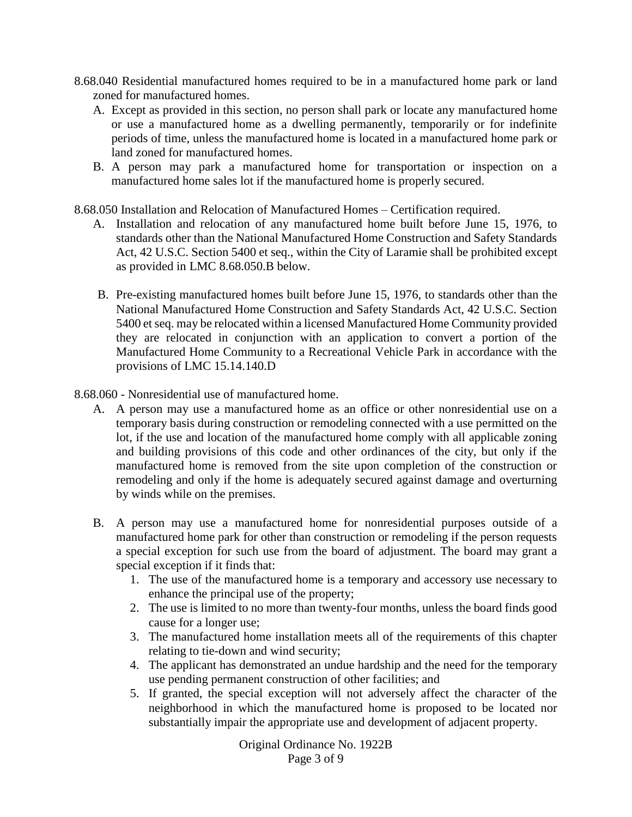- 8.68.040 Residential manufactured homes required to be in a manufactured home park or land zoned for manufactured homes.
	- A. Except as provided in this section, no person shall park or locate any manufactured home or use a manufactured home as a dwelling permanently, temporarily or for indefinite periods of time, unless the manufactured home is located in a manufactured home park or land zoned for manufactured homes.
	- B. A person may park a manufactured home for transportation or inspection on a manufactured home sales lot if the manufactured home is properly secured.
- 8.68.050 Installation and Relocation of Manufactured Homes Certification required.
	- A. Installation and relocation of any manufactured home built before June 15, 1976, to standards other than the National Manufactured Home Construction and Safety Standards Act, 42 U.S.C. Section 5400 et seq., within the City of Laramie shall be prohibited except as provided in LMC 8.68.050.B below.
	- B. Pre-existing manufactured homes built before June 15, 1976, to standards other than the National Manufactured Home Construction and Safety Standards Act, 42 U.S.C. Section 5400 et seq. may be relocated within a licensed Manufactured Home Community provided they are relocated in conjunction with an application to convert a portion of the Manufactured Home Community to a Recreational Vehicle Park in accordance with the provisions of LMC 15.14.140.D
- 8.68.060 Nonresidential use of manufactured home.
	- A. A person may use a manufactured home as an office or other nonresidential use on a temporary basis during construction or remodeling connected with a use permitted on the lot, if the use and location of the manufactured home comply with all applicable zoning and building provisions of this code and other ordinances of the city, but only if the manufactured home is removed from the site upon completion of the construction or remodeling and only if the home is adequately secured against damage and overturning by winds while on the premises.
	- B. A person may use a manufactured home for nonresidential purposes outside of a manufactured home park for other than construction or remodeling if the person requests a special exception for such use from the board of adjustment. The board may grant a special exception if it finds that:
		- 1. The use of the manufactured home is a temporary and accessory use necessary to enhance the principal use of the property;
		- 2. The use is limited to no more than twenty-four months, unless the board finds good cause for a longer use;
		- 3. The manufactured home installation meets all of the requirements of this chapter relating to tie-down and wind security;
		- 4. The applicant has demonstrated an undue hardship and the need for the temporary use pending permanent construction of other facilities; and
		- 5. If granted, the special exception will not adversely affect the character of the neighborhood in which the manufactured home is proposed to be located nor substantially impair the appropriate use and development of adjacent property.

Original Ordinance No. 1922B Page 3 of 9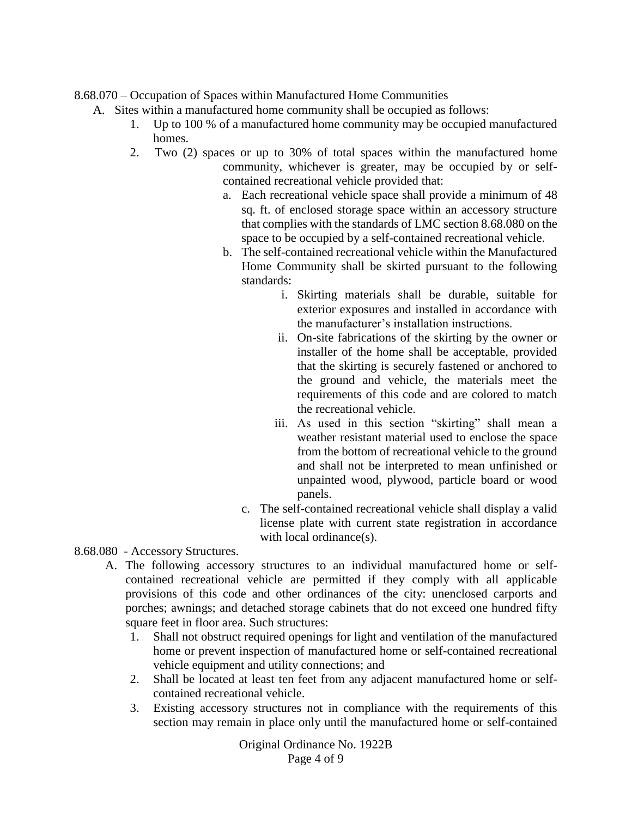8.68.070 – Occupation of Spaces within Manufactured Home Communities

- A. Sites within a manufactured home community shall be occupied as follows:
	- 1. Up to 100 % of a manufactured home community may be occupied manufactured homes.
	- 2. Two (2) spaces or up to 30% of total spaces within the manufactured home community, whichever is greater, may be occupied by or selfcontained recreational vehicle provided that:
		- a. Each recreational vehicle space shall provide a minimum of 48 sq. ft. of enclosed storage space within an accessory structure that complies with the standards of LMC section 8.68.080 on the space to be occupied by a self-contained recreational vehicle.
		- b. The self-contained recreational vehicle within the Manufactured Home Community shall be skirted pursuant to the following standards:
			- i. Skirting materials shall be durable, suitable for exterior exposures and installed in accordance with the manufacturer's installation instructions.
			- ii. On-site fabrications of the skirting by the owner or installer of the home shall be acceptable, provided that the skirting is securely fastened or anchored to the ground and vehicle, the materials meet the requirements of this code and are colored to match the recreational vehicle.
			- iii. As used in this section "skirting" shall mean a weather resistant material used to enclose the space from the bottom of recreational vehicle to the ground and shall not be interpreted to mean unfinished or unpainted wood, plywood, particle board or wood panels.
			- c. The self-contained recreational vehicle shall display a valid license plate with current state registration in accordance with local ordinance(s).
- 8.68.080 Accessory Structures.
	- A. The following accessory structures to an individual manufactured home or selfcontained recreational vehicle are permitted if they comply with all applicable provisions of this code and other ordinances of the city: unenclosed carports and porches; awnings; and detached storage cabinets that do not exceed one hundred fifty square feet in floor area. Such structures:
		- 1. Shall not obstruct required openings for light and ventilation of the manufactured home or prevent inspection of manufactured home or self-contained recreational vehicle equipment and utility connections; and
		- 2. Shall be located at least ten feet from any adjacent manufactured home or selfcontained recreational vehicle.
		- 3. Existing accessory structures not in compliance with the requirements of this section may remain in place only until the manufactured home or self-contained

Original Ordinance No. 1922B Page 4 of 9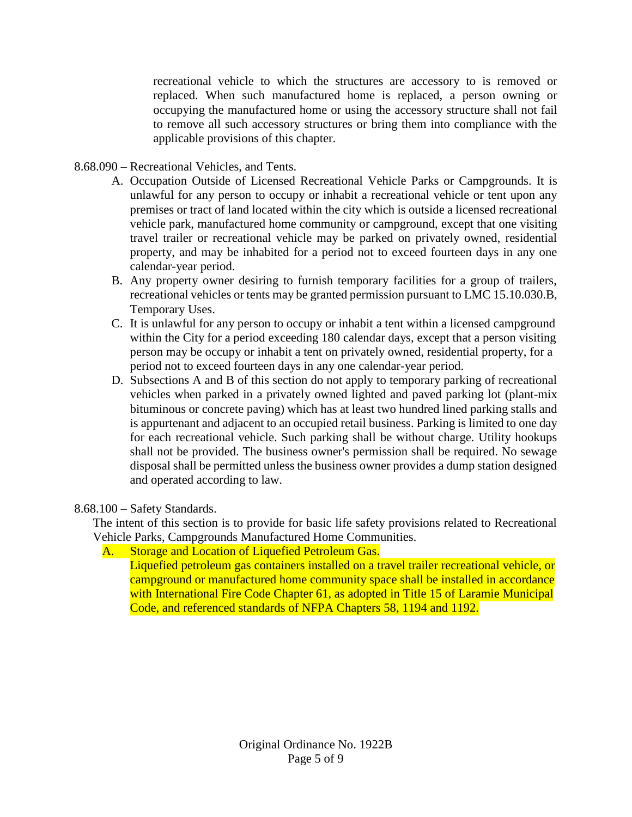recreational vehicle to which the structures are accessory to is removed or replaced. When such manufactured home is replaced, a person owning or occupying the manufactured home or using the accessory structure shall not fail to remove all such accessory structures or bring them into compliance with the applicable provisions of this chapter.

- 8.68.090 Recreational Vehicles, and Tents.
	- A. Occupation Outside of Licensed Recreational Vehicle Parks or Campgrounds. It is unlawful for any person to occupy or inhabit a recreational vehicle or tent upon any premises or tract of land located within the city which is outside a licensed recreational vehicle park, manufactured home community or campground, except that one visiting travel trailer or recreational vehicle may be parked on privately owned, residential property, and may be inhabited for a period not to exceed fourteen days in any one calendar-year period.
	- B. Any property owner desiring to furnish temporary facilities for a group of trailers, recreational vehicles or tents may be granted permission pursuant to LMC 15.10.030.B, Temporary Uses.
	- C. It is unlawful for any person to occupy or inhabit a tent within a licensed campground within the City for a period exceeding 180 calendar days, except that a person visiting person may be occupy or inhabit a tent on privately owned, residential property, for a period not to exceed fourteen days in any one calendar-year period.
	- D. Subsections A and B of this section do not apply to temporary parking of recreational vehicles when parked in a privately owned lighted and paved parking lot (plant-mix bituminous or concrete paving) which has at least two hundred lined parking stalls and is appurtenant and adjacent to an occupied retail business. Parking is limited to one day for each recreational vehicle. Such parking shall be without charge. Utility hookups shall not be provided. The business owner's permission shall be required. No sewage disposal shall be permitted unless the business owner provides a dump station designed and operated according to law.

8.68.100 – Safety Standards.

The intent of this section is to provide for basic life safety provisions related to Recreational Vehicle Parks, Campgrounds Manufactured Home Communities.

A. Storage and Location of Liquefied Petroleum Gas.

Liquefied petroleum gas containers installed on a travel trailer recreational vehicle, or campground or manufactured home community space shall be installed in accordance with International Fire Code Chapter 61, as adopted in Title 15 of Laramie Municipal Code, and referenced standards of NFPA Chapters 58, 1194 and 1192.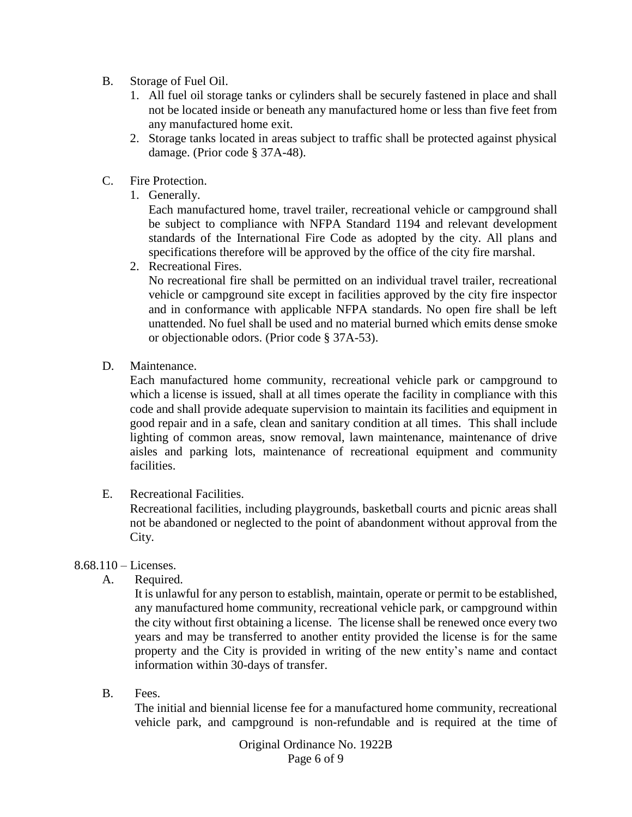- B. Storage of Fuel Oil.
	- 1. All fuel oil storage tanks or cylinders shall be securely fastened in place and shall not be located inside or beneath any manufactured home or less than five feet from any manufactured home exit.
	- 2. Storage tanks located in areas subject to traffic shall be protected against physical damage. (Prior code § 37A-48).
- C. Fire Protection.
	- 1. Generally.

Each manufactured home, travel trailer, recreational vehicle or campground shall be subject to compliance with NFPA Standard 1194 and relevant development standards of the International Fire Code as adopted by the city. All plans and specifications therefore will be approved by the office of the city fire marshal.

2. Recreational Fires.

No recreational fire shall be permitted on an individual travel trailer, recreational vehicle or campground site except in facilities approved by the city fire inspector and in conformance with applicable NFPA standards. No open fire shall be left unattended. No fuel shall be used and no material burned which emits dense smoke or objectionable odors. (Prior code § 37A-53).

D. Maintenance.

Each manufactured home community, recreational vehicle park or campground to which a license is issued, shall at all times operate the facility in compliance with this code and shall provide adequate supervision to maintain its facilities and equipment in good repair and in a safe, clean and sanitary condition at all times. This shall include lighting of common areas, snow removal, lawn maintenance, maintenance of drive aisles and parking lots, maintenance of recreational equipment and community facilities.

E. Recreational Facilities.

Recreational facilities, including playgrounds, basketball courts and picnic areas shall not be abandoned or neglected to the point of abandonment without approval from the City.

### 8.68.110 – Licenses.

A. Required.

It is unlawful for any person to establish, maintain, operate or permit to be established, any manufactured home community, recreational vehicle park, or campground within the city without first obtaining a license. The license shall be renewed once every two years and may be transferred to another entity provided the license is for the same property and the City is provided in writing of the new entity's name and contact information within 30-days of transfer.

B. Fees.

The initial and biennial license fee for a manufactured home community, recreational vehicle park, and campground is non-refundable and is required at the time of

> Original Ordinance No. 1922B Page 6 of 9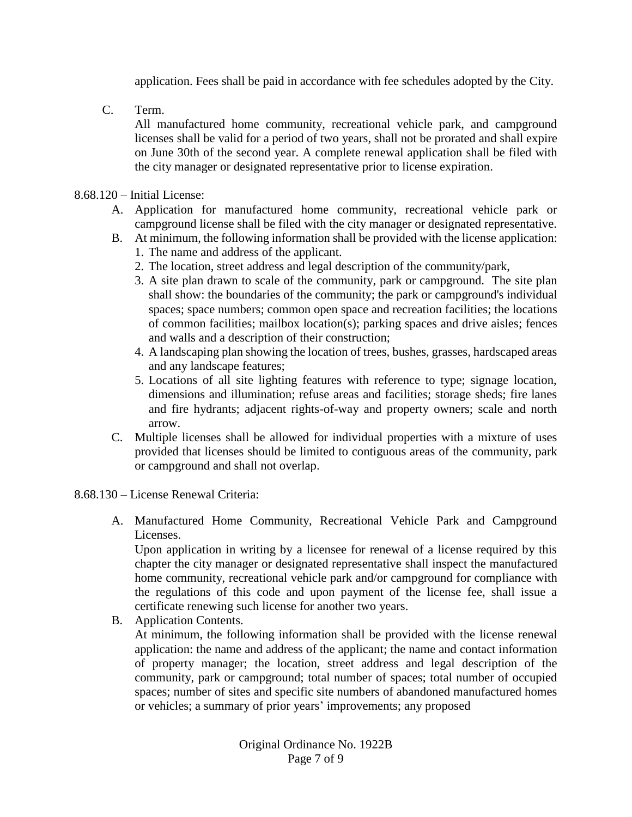application. Fees shall be paid in accordance with fee schedules adopted by the City.

C. Term.

All manufactured home community, recreational vehicle park, and campground licenses shall be valid for a period of two years, shall not be prorated and shall expire on June 30th of the second year. A complete renewal application shall be filed with the city manager or designated representative prior to license expiration.

#### 8.68.120 – Initial License:

- A. Application for manufactured home community, recreational vehicle park or campground license shall be filed with the city manager or designated representative.
- B. At minimum, the following information shall be provided with the license application:
	- 1. The name and address of the applicant.
	- 2. The location, street address and legal description of the community/park,
	- 3. A site plan drawn to scale of the community, park or campground. The site plan shall show: the boundaries of the community; the park or campground's individual spaces; space numbers; common open space and recreation facilities; the locations of common facilities; mailbox location(s); parking spaces and drive aisles; fences and walls and a description of their construction;
	- 4. A landscaping plan showing the location of trees, bushes, grasses, hardscaped areas and any landscape features;
	- 5. Locations of all site lighting features with reference to type; signage location, dimensions and illumination; refuse areas and facilities; storage sheds; fire lanes and fire hydrants; adjacent rights-of-way and property owners; scale and north arrow.
- C. Multiple licenses shall be allowed for individual properties with a mixture of uses provided that licenses should be limited to contiguous areas of the community, park or campground and shall not overlap.
- 8.68.130 License Renewal Criteria:
	- A. Manufactured Home Community, Recreational Vehicle Park and Campground Licenses.

Upon application in writing by a licensee for renewal of a license required by this chapter the city manager or designated representative shall inspect the manufactured home community, recreational vehicle park and/or campground for compliance with the regulations of this code and upon payment of the license fee, shall issue a certificate renewing such license for another two years.

B. Application Contents.

At minimum, the following information shall be provided with the license renewal application: the name and address of the applicant; the name and contact information of property manager; the location, street address and legal description of the community, park or campground; total number of spaces; total number of occupied spaces; number of sites and specific site numbers of abandoned manufactured homes or vehicles; a summary of prior years' improvements; any proposed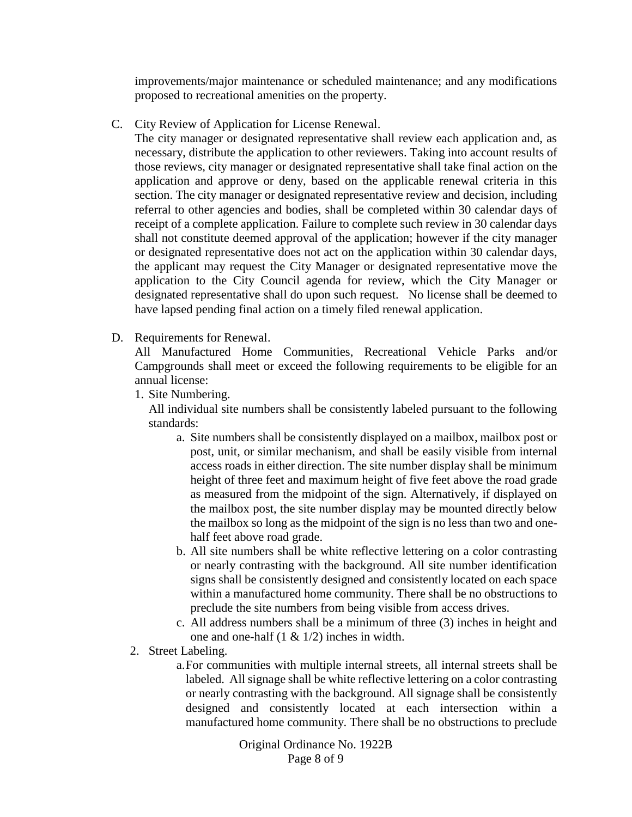improvements/major maintenance or scheduled maintenance; and any modifications proposed to recreational amenities on the property.

C. City Review of Application for License Renewal.

The city manager or designated representative shall review each application and, as necessary, distribute the application to other reviewers. Taking into account results of those reviews, city manager or designated representative shall take final action on the application and approve or deny, based on the applicable renewal criteria in this section. The city manager or designated representative review and decision, including referral to other agencies and bodies, shall be completed within 30 calendar days of receipt of a complete application. Failure to complete such review in 30 calendar days shall not constitute deemed approval of the application; however if the city manager or designated representative does not act on the application within 30 calendar days, the applicant may request the City Manager or designated representative move the application to the City Council agenda for review, which the City Manager or designated representative shall do upon such request. No license shall be deemed to have lapsed pending final action on a timely filed renewal application.

D. Requirements for Renewal.

All Manufactured Home Communities, Recreational Vehicle Parks and/or Campgrounds shall meet or exceed the following requirements to be eligible for an annual license:

1. Site Numbering.

All individual site numbers shall be consistently labeled pursuant to the following standards:

- a. Site numbers shall be consistently displayed on a mailbox, mailbox post or post, unit, or similar mechanism, and shall be easily visible from internal access roads in either direction. The site number display shall be minimum height of three feet and maximum height of five feet above the road grade as measured from the midpoint of the sign. Alternatively, if displayed on the mailbox post, the site number display may be mounted directly below the mailbox so long as the midpoint of the sign is no less than two and onehalf feet above road grade.
- b. All site numbers shall be white reflective lettering on a color contrasting or nearly contrasting with the background. All site number identification signs shall be consistently designed and consistently located on each space within a manufactured home community. There shall be no obstructions to preclude the site numbers from being visible from access drives.
- c. All address numbers shall be a minimum of three (3) inches in height and one and one-half (1 & 1/2) inches in width.
- 2. Street Labeling.
	- a.For communities with multiple internal streets, all internal streets shall be labeled. All signage shall be white reflective lettering on a color contrasting or nearly contrasting with the background. All signage shall be consistently designed and consistently located at each intersection within a manufactured home community. There shall be no obstructions to preclude

Original Ordinance No. 1922B Page 8 of 9